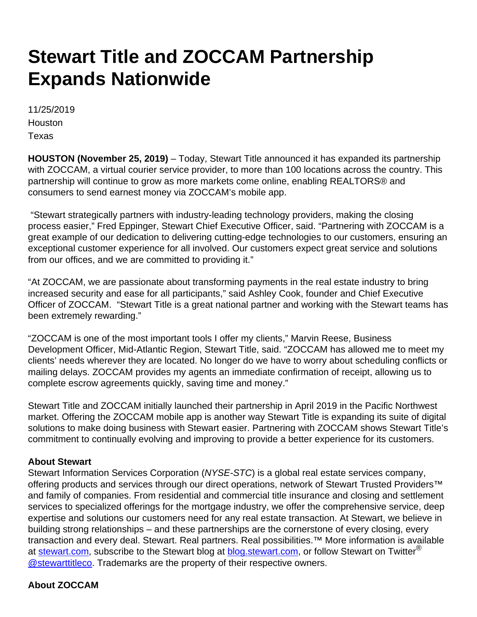## **Stewart Title and ZOCCAM Partnership Expands Nationwide**

11/25/2019 Houston Texas

**HOUSTON (November 25, 2019)** – Today, Stewart Title announced it has expanded its partnership with ZOCCAM, a virtual courier service provider, to more than 100 locations across the country. This partnership will continue to grow as more markets come online, enabling REALTORS® and consumers to send earnest money via ZOCCAM's mobile app.

 "Stewart strategically partners with industry-leading technology providers, making the closing process easier," Fred Eppinger, Stewart Chief Executive Officer, said. "Partnering with ZOCCAM is a great example of our dedication to delivering cutting-edge technologies to our customers, ensuring an exceptional customer experience for all involved. Our customers expect great service and solutions from our offices, and we are committed to providing it."

"At ZOCCAM, we are passionate about transforming payments in the real estate industry to bring increased security and ease for all participants," said Ashley Cook, founder and Chief Executive Officer of ZOCCAM. "Stewart Title is a great national partner and working with the Stewart teams has been extremely rewarding."

"ZOCCAM is one of the most important tools I offer my clients," Marvin Reese, Business Development Officer, Mid-Atlantic Region, Stewart Title, said. "ZOCCAM has allowed me to meet my clients' needs wherever they are located. No longer do we have to worry about scheduling conflicts or mailing delays. ZOCCAM provides my agents an immediate confirmation of receipt, allowing us to complete escrow agreements quickly, saving time and money."

Stewart Title and ZOCCAM initially launched their partnership in April 2019 in the Pacific Northwest market. Offering the ZOCCAM mobile app is another way Stewart Title is expanding its suite of digital solutions to make doing business with Stewart easier. Partnering with ZOCCAM shows Stewart Title's commitment to continually evolving and improving to provide a better experience for its customers.

## **About Stewart**

Stewart Information Services Corporation (NYSE-STC) is a global real estate services company, offering products and services through our direct operations, network of Stewart Trusted Providers<sup>™</sup> and family of companies. From residential and commercial title insurance and closing and settlement services to specialized offerings for the mortgage industry, we offer the comprehensive service, deep expertise and solutions our customers need for any real estate transaction. At Stewart, we believe in building strong relationships – and these partnerships are the cornerstone of every closing, every transaction and every deal. Stewart. Real partners. Real possibilities.<sup>™</sup> More information is available at [stewart.com](http://www.stewart.com/), subscribe to the Stewart blog at **blog.stewart.com**, or follow Stewart on Twitter<sup>®</sup> [@stewarttitleco](http://twitter.com/StewartTitleCo). Trademarks are the property of their respective owners.

## **About ZOCCAM**